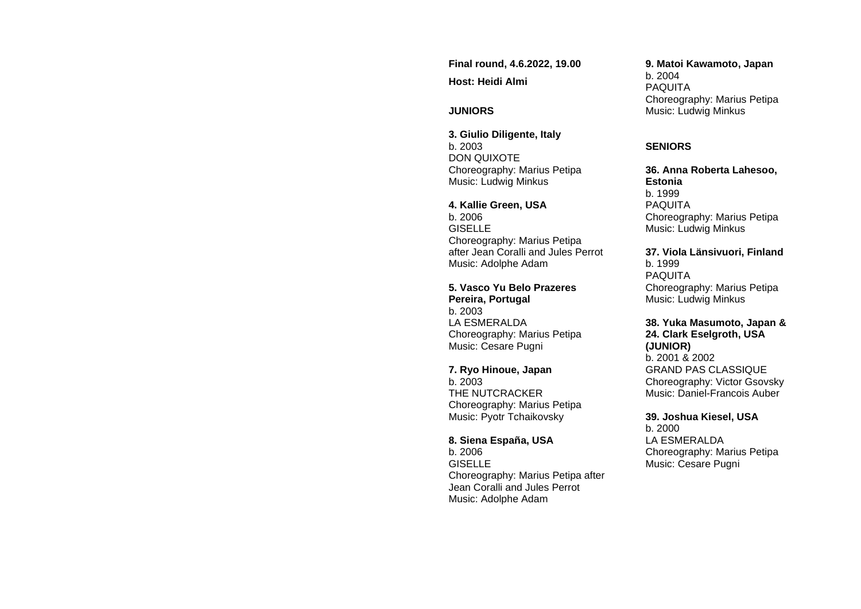**Final round, 4.6.2022, 19.00 Host: Heidi Almi**

## **JUNIORS**

**3. Giulio Diligente, Italy** b. 2003 DON QUIXOTE Choreography: Marius Petipa Music: Ludwig Minkus

**4. Kallie Green, USA** b. 2006 **GISELLE** Choreography: Marius Petipa after Jean Coralli and Jules Perrot Music: Adolphe Adam

**5. Vasco Yu Belo Prazeres Pereira, Portugal** b. 2003 LA ESMERALDA Choreography: Marius Petipa Music: Cesare Pugni

**7. Ryo Hinoue, Japan** b. 2003 THE NUTCRACKER Choreography: Marius Petipa Music: Pyotr Tchaikovsky

**8. Siena España, USA** b. 2006 GISELLE Choreography: Marius Petipa after Jean Coralli and Jules Perrot Music: Adolphe Adam

**9. Matoi Kawamoto, Japan**

b. 2004 PAQUITA Choreography: Marius Petipa Music: Ludwig Minkus

#### **SENIORS**

**36. Anna Roberta Lahesoo, Estonia**  b. 1999 PAQUITA Choreography: Marius Petipa Music: Ludwig Minkus

**37. Viola Länsivuori, Finland** b. 1999 PAQUITA Choreography: Marius Petipa Music: Ludwig Minkus

**38. Yuka Masumoto, Japan & 24. Clark Eselgroth, USA (JUNIOR)** b. 2001 & 2002 GRAND PAS CLASSIQUE Choreography: Victor Gsovsky Music: Daniel-Francois Auber

#### **39. Joshua Kiesel, USA**

b. 2000 LA ESMERALDA Choreography: Marius Petipa Music: Cesare Pugni